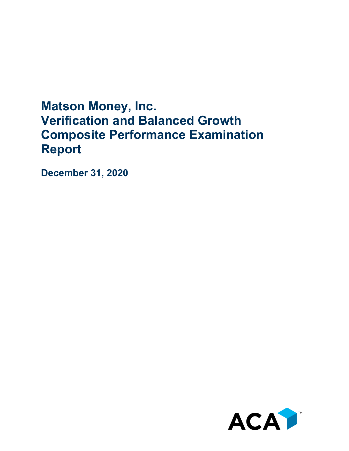# **Matson Money, Inc. Verification and Balanced Growth Composite Performance Examination Report**

**December 31, 2020**

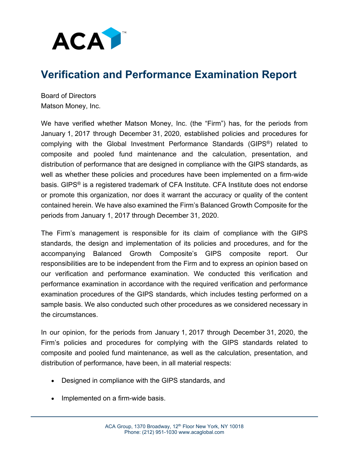

## **Verification and Performance Examination Report**

Board of Directors Matson Money, Inc.

We have verified whether Matson Money, Inc. (the "Firm") has, for the periods from January 1, 2017 through December 31, 2020, established policies and procedures for complying with the Global Investment Performance Standards (GIPS®) related to composite and pooled fund maintenance and the calculation, presentation, and distribution of performance that are designed in compliance with the GIPS standards, as well as whether these policies and procedures have been implemented on a firm-wide basis. GIPS® is a registered trademark of CFA Institute. CFA Institute does not endorse or promote this organization, nor does it warrant the accuracy or quality of the content contained herein. We have also examined the Firm's Balanced Growth Composite for the periods from January 1, 2017 through December 31, 2020.

The Firm's management is responsible for its claim of compliance with the GIPS standards, the design and implementation of its policies and procedures, and for the accompanying Balanced Growth Composite's GIPS composite report. Our responsibilities are to be independent from the Firm and to express an opinion based on our verification and performance examination. We conducted this verification and performance examination in accordance with the required verification and performance examination procedures of the GIPS standards, which includes testing performed on a sample basis. We also conducted such other procedures as we considered necessary in the circumstances.

In our opinion, for the periods from January 1, 2017 through December 31, 2020, the Firm's policies and procedures for complying with the GIPS standards related to composite and pooled fund maintenance, as well as the calculation, presentation, and distribution of performance, have been, in all material respects:

- Designed in compliance with the GIPS standards, and
- Implemented on a firm-wide basis.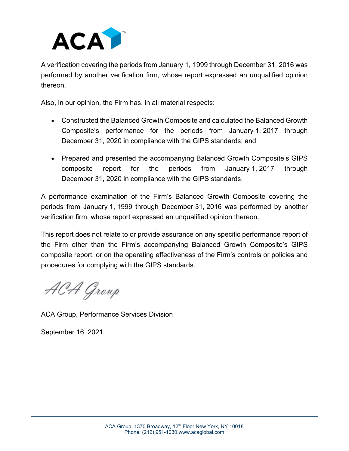

A verification covering the periods from January 1, 1999 through December 31, 2016 was performed by another verification firm, whose report expressed an unqualified opinion thereon.

Also, in our opinion, the Firm has, in all material respects:

- Constructed the Balanced Growth Composite and calculated the Balanced Growth Composite's performance for the periods from January 1, 2017 through December 31, 2020 in compliance with the GIPS standards; and
- Prepared and presented the accompanying Balanced Growth Composite's GIPS composite report for the periods from January 1, 2017 through December 31, 2020 in compliance with the GIPS standards.

A performance examination of the Firm's Balanced Growth Composite covering the periods from January 1, 1999 through December 31, 2016 was performed by another verification firm, whose report expressed an unqualified opinion thereon.

This report does not relate to or provide assurance on any specific performance report of the Firm other than the Firm's accompanying Balanced Growth Composite's GIPS composite report, or on the operating effectiveness of the Firm's controls or policies and procedures for complying with the GIPS standards.

ACA Group

ACA Group, Performance Services Division

September 16, 2021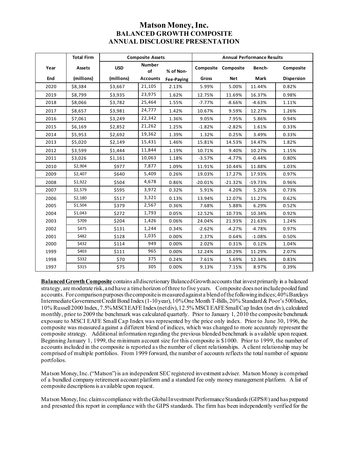### **Matson Money, Inc. BALANCED GROWTH COMPOSITE ANNUAL DISCLOSURE PRESENTATION**

|      | <b>Total Firm</b> | <b>Composite Assets</b> |                     |            | <b>Annual Performance Results</b> |                     |           |                   |
|------|-------------------|-------------------------|---------------------|------------|-----------------------------------|---------------------|-----------|-------------------|
| Year | Assets            | <b>USD</b>              | <b>Number</b><br>of | % of Non-  |                                   | Composite Composite | Bench-    | Composite         |
| End  | (millions)        | (millions)              | <b>Accounts</b>     | Fee-Paying | Gross                             | <b>Net</b>          | Mark      | <b>Dispersion</b> |
| 2020 | \$8,384           | \$3,667                 | 21,105              | 2.13%      | 5.99%                             | 5.00%               | 11.44%    | 0.82%             |
| 2019 | \$8,799           | \$3,935                 | 23,975              | 1.62%      | 12.75%                            | 11.69%              | 16.37%    | 0.98%             |
| 2018 | \$8,066           | \$3,782                 | 25,464              | 1.55%      | $-7.77%$                          | $-8.66%$            | $-4.63%$  | 1.11%             |
| 2017 | \$8,657           | \$3,981                 | 24,777              | 1.42%      | 10.67%                            | 9.59%               | 12.27%    | 1.26%             |
| 2016 | \$7,061           | \$3,249                 | 22,342              | 1.36%      | 9.05%                             | 7.95%               | 5.86%     | 0.94%             |
| 2015 | \$6,169           | \$2,852                 | 21,262              | 1.25%      | $-1.82%$                          | $-2.82%$            | 1.61%     | 0.33%             |
| 2014 | \$5,953           | \$2,692                 | 19,362              | 1.39%      | 1.32%                             | 0.25%               | 3.49%     | 0.33%             |
| 2013 | \$5,020           | \$2,149                 | 15,431              | 1.46%      | 15.81%                            | 14.53%              | 14.47%    | 1.82%             |
| 2012 | \$3,599           | \$1,444                 | 11,844              | 1.19%      | 10.71%                            | 9.40%               | 10.27%    | 1.15%             |
| 2011 | \$3,026           | \$1,161                 | 10,063              | 1.18%      | $-3.57%$                          | $-4.77%$            | $-0.44%$  | 0.80%             |
| 2010 | \$2,904           | \$977                   | 7,877               | 1.09%      | 11.91%                            | 10.44%              | 11.88%    | 1.03%             |
| 2009 | \$2,407           | \$640                   | 5,409               | 0.26%      | 19.03%                            | 17.27%              | 17.93%    | 0.97%             |
| 2008 | \$1,922           | \$504                   | 4,678               | 0.86%      | $-20.01%$                         | $-21.32%$           | $-19.73%$ | 0.96%             |
| 2007 | \$2,579           | \$595                   | 3,972               | 0.32%      | 5.91%                             | 4.20%               | 5.25%     | 0.73%             |
| 2006 | \$2,180           | \$517                   | 3,321               | 0.13%      | 13.94%                            | 12.07%              | 11.27%    | 0.62%             |
| 2005 | \$1,504           | \$379                   | 2,567               | 0.36%      | 7.68%                             | 5.88%               | 6.29%     | 0.52%             |
| 2004 | \$1,043           | \$272                   | 1,793               | 0.05%      | 12.52%                            | 10.73%              | 10.34%    | 0.92%             |
| 2003 | \$709             | \$204                   | 1,426               | 0.06%      | 24.04%                            | 21.93%              | 21.63%    | 1.24%             |
| 2002 | \$475             | \$131                   | 1,244               | 0.34%      | $-2.62%$                          | $-4.27%$            | $-4.78%$  | 0.97%             |
| 2001 | \$482             | \$128                   | 1,035               | 0.00%      | 2.37%                             | 0.64%               | $-1.08%$  | 0.50%             |
| 2000 | \$432             | \$114                   | 949                 | 0.00%      | 2.02%                             | 0.31%               | 0.12%     | 1.04%             |
| 1999 | \$403             | \$111                   | 965                 | 0.00%      | 12.24%                            | 10.29%              | 11.29%    | 2.07%             |
| 1998 | \$332             | \$70                    | 375                 | 0.24%      | 7.61%                             | 5.69%               | 12.34%    | 0.83%             |
| 1997 | \$315             | \$75                    | 305                 | 0.00%      | 9.13%                             | 7.15%               | 8.97%     | 0.39%             |

**Balanced Growth Composite** contains all discretionary Balanced Growth accounts that invest primarily in a balanced strategy, are moderate risk, and have a time horizon of three to five years. Composite does not include pooled fund accounts. For comparison purposes the composite is measured against a blend of the following indices; 40% Barclays Intermediate Government Credit Bond Index (1-10 year), 10% One Month T-Bills, 20% Standard & Poor's 500 Index, 10% Russell 2000 Index, 7.5% MSCI EAFE Index(netdiv), 12.5% MSCI EAFE Small Cap Index (net div), calculated monthly, prior to 2009 the benchmark was calculated quarterly. Prior to January 1, 2010 the composite benchmark exposure to MSCI EAFE Small Cap Index was represented by the price only index. Prior to June 30, 1996, the composite was measured against a different blend of indices, which was changed to more accurately represent the composite strategy. Additional information regarding the previous blended benchmark is available upon request. Beginning January 1, 1999, the minimum account size for this composite is \$1000. Prior to 1999, the number of accounts included in the composite is reported as the number of client relationships. A client relationship may be comprised of multiple portfolios. From 1999 forward, the number of accounts reflects the total number of separate portfolios.

Matson Money, Inc. ("Matson") is an independent SEC registered investment adviser. Matson Money is comprised of a bundled company retirement account platform and a standard fee only money management platform. A list of composite descriptions is available upon request.

Matson Money, Inc. claims compliance with the Global Investment Performance Standards (GIPS®) and has prepared and presented this report in compliance with the GIPS standards. The firm has been independently verified for the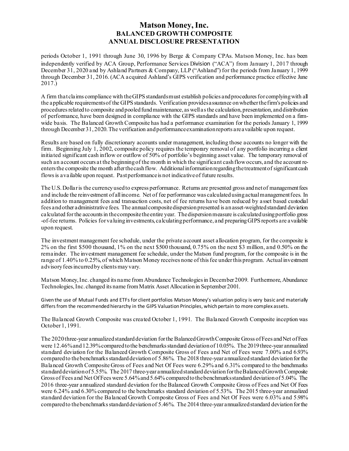#### **Matson Money, Inc. BALANCED GROWTH COMPOSITE ANNUAL DISCLOSURE PRESENTATION**

periods October 1, 1991 through June 30, 1996 by Berge & Company CPAs. Matson Money, Inc. has been independently verified by ACA Group, Performance Services Division ("ACA") from January 1, 2017 through December 31, 2020 and by Ashland Partners & Company, LLP ("Ashland") for the periods from January 1, 1999 through December 31, 2016. (ACA acquired Ashland's GIPS verification and performance practice effective June 2017.)

A firm that claims compliance with the GIPS standards must establish policies and procedures for complying with all the applicable requirements of the GIPS standards. Verification provides assurance on whether the firm's policies and procedures related to composite and pooled fund maintenance, as well asthe calculation, presentation, and distribution of performance, have been designed in compliance with the GIPS standards and have been implemented on a firmwide basis. The Balanced Growth Composite has had a performance examination for the periods January 1, 1999 through December 31, 2020. The verification and performance examination reports are available upon request.

Results are based on fully discretionary accounts under management, including those accounts no longer with the firm. Beginning July 1, 2002, composite policy requires the temporary removal of any portfolio incurring a client initiated significant cash inflow or outflow of 50% of portfolio's beginning asset value. The temporary removal of such an account occurs at the beginning of the month in which the significant cash flow occurs, and the account reenters the composite the month after the cash flow. Additional information regarding the treatment of significant cash flows is available upon request. Past performance is not indicative of future results.

The U.S. Dollar is the currency used to express performance. Returns are presented gross and net of management fees and include the reinvestment of all income. Net of fee performance was calculated using actual management fees. In addition to management fees and transaction costs, net of fee returns have been reduced by asset based custodial fees and other administrative fees. The annual composite dispersion presented is an asset-weighted standard deviation calculated for the accounts in the composite the entire year. The dispersion measure is calculated using portfolio gross -of-fee returns. Policies for valuing investments, calculating performance, and preparing GIPS reports are available upon request.

The investment management fee schedule, under the private account asset allocation program, for the composite is 2% on the first \$500 thousand, 1% on the next \$500 thousand, 0.75% on the next \$3 million, and 0.50% on the remainder. The investment management fee schedule, under the Matson fund program, for the composite is in the range of 1.40% to 0.25%, of which Matson Money receives none of this fee under this program. Actual investment advisoryfees incurred by clients may vary.

Matson Money, Inc. changed its name from Abundance Technologies in December 2009. Furthermore, Abundance Technologies, Inc. changed its name from Matrix Asset Allocation in September 2001.

Given the use of Mutual Funds and ETFs for client portfolios Matson Money's valuation policy is very basic and materially differs from the recommended hierarchy in the GIPS Valuation Principles, which pertain to more complex assets.

The Balanced Growth Composite was created October 1, 1991. The Balanced Growth Composite inception was October 1, 1991.

The 2020three-year annualized standard deviation for the Balanced Growth Composite Gross of Fees and Net of Fees were 12.46% and 12.39% compared to the benchmarks standard deviation of 10.05%. The 2019three-year annualized standard deviation for the Balanced Growth Composite Gross of Fees and Net of Fees were 7.00% and 6.93% compared to the benchmarks standard deviation of 5.86%. The 2018 three-year annualized standard deviation for the Balanced Growth Composite Gross of Fees and Net Of Fees were 6.29% and 6.31% compared to the benchmarks standard deviation of 5.55%. The 2017 three-year annualized standard deviation for the Balanced Growth Composite Gross of Fees and Net Of Fees were 5.64% and 5.64% compared to the benchmarks standard deviation of 5.04%. The 2016 three-year annualized standard deviation for the Balanced Growth Composite Gross of Fees and Net Of Fees were 6.24% and 6.30% compared to the benchmarks standard deviation of 5.53%. The 2015 three-year annualized standard deviation for the Balanced Growth Composite Gross of Fees and Net Of Fees were 6.03% and 5.98% compared to the benchmarks standard deviation of 5.46%. The 2014 three-year annualized standard deviation for the